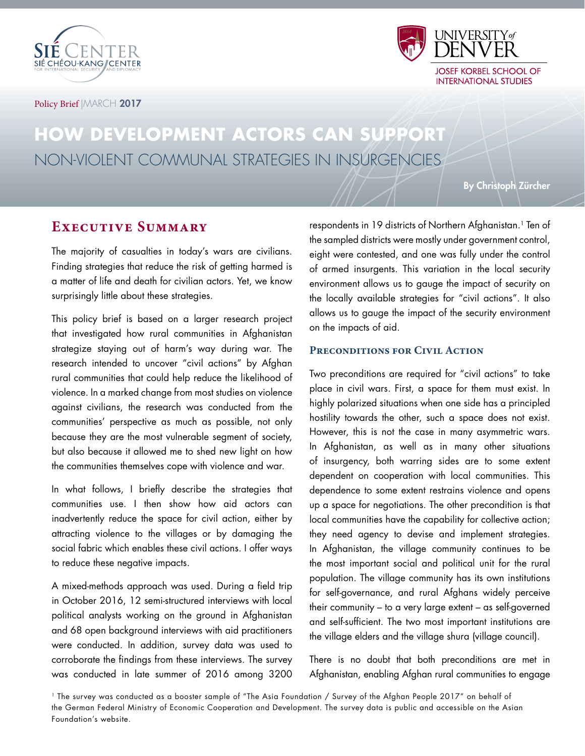



#### Policy Brief | MARCH 2017

# **HOW DEVELOPMENT ACTORS CAN SUPPORT** NON-VIOLENT COMMUNAL STRATEGIES IN INSURGENCIES

By Christoph Zürcher

# **Executive Summary**

The majority of casualties in today's wars are civilians. Finding strategies that reduce the risk of getting harmed is a matter of life and death for civilian actors. Yet, we know surprisingly little about these strategies.

This policy brief is based on a larger research project that investigated how rural communities in Afghanistan strategize staying out of harm's way during war. The research intended to uncover "civil actions" by Afghan rural communities that could help reduce the likelihood of violence. In a marked change from most studies on violence against civilians, the research was conducted from the communities' perspective as much as possible, not only because they are the most vulnerable segment of society, but also because it allowed me to shed new light on how the communities themselves cope with violence and war.

In what follows, I briefly describe the strategies that communities use. I then show how aid actors can inadvertently reduce the space for civil action, either by attracting violence to the villages or by damaging the social fabric which enables these civil actions. I offer ways to reduce these negative impacts.

A mixed-methods approach was used. During a field trip in October 2016, 12 semi-structured interviews with local political analysts working on the ground in Afghanistan and 68 open background interviews with aid practitioners were conducted. In addition, survey data was used to corroborate the findings from these interviews. The survey was conducted in late summer of 2016 among 3200

respondents in 19 districts of Northern Afghanistan.<sup>1</sup> Ten of the sampled districts were mostly under government control, eight were contested, and one was fully under the control of armed insurgents. This variation in the local security environment allows us to gauge the impact of security on the locally available strategies for "civil actions". It also allows us to gauge the impact of the security environment on the impacts of aid.

#### **Preconditions for Civil Action**

Two preconditions are required for "civil actions" to take place in civil wars. First, a space for them must exist. In highly polarized situations when one side has a principled hostility towards the other, such a space does not exist. However, this is not the case in many asymmetric wars. In Afghanistan, as well as in many other situations of insurgency, both warring sides are to some extent dependent on cooperation with local communities. This dependence to some extent restrains violence and opens up a space for negotiations. The other precondition is that local communities have the capability for collective action; they need agency to devise and implement strategies. In Afghanistan, the village community continues to be the most important social and political unit for the rural population. The village community has its own institutions for self-governance, and rural Afghans widely perceive their community – to a very large extent – as self-governed and self-sufficient. The two most important institutions are the village elders and the village shura (village council).

There is no doubt that both preconditions are met in Afghanistan, enabling Afghan rural communities to engage

1 The survey was conducted as a booster sample of "The Asia Foundation / Survey of the Afghan People 2017" on behalf of the German Federal Ministry of Economic Cooperation and Development. The survey data is public and accessible on the Asian Foundation's website.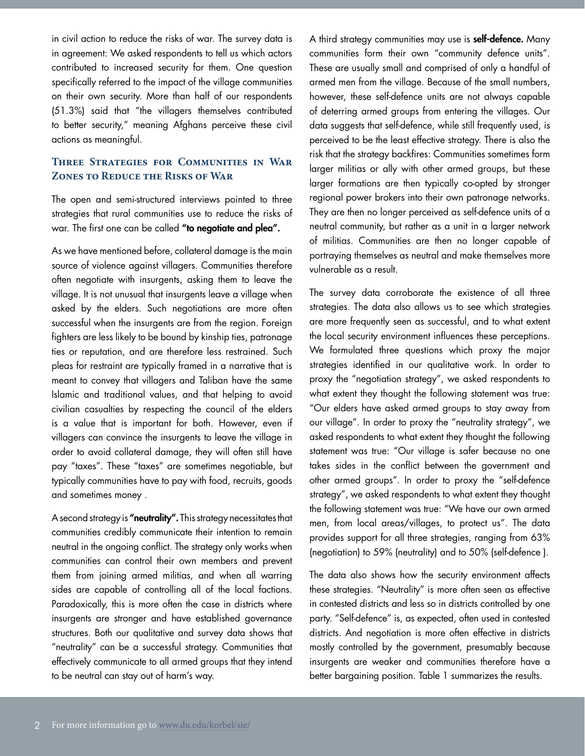in civil action to reduce the risks of war. The survey data is in agreement: We asked respondents to tell us which actors contributed to increased security for them. One question specifically referred to the impact of the village communities on their own security. More than half of our respondents (51.3%) said that "the villagers themselves contributed to better security," meaning Afghans perceive these civil actions as meaningful.

# **Three Strategies for Communities in War Zones to Reduce the Risks of War**

The open and semi-structured interviews pointed to three strategies that rural communities use to reduce the risks of war. The first one can be called "to negotiate and plea".

As we have mentioned before, collateral damage is the main source of violence against villagers. Communities therefore often negotiate with insurgents, asking them to leave the village. It is not unusual that insurgents leave a village when asked by the elders. Such negotiations are more often successful when the insurgents are from the region. Foreign fighters are less likely to be bound by kinship ties, patronage ties or reputation, and are therefore less restrained. Such pleas for restraint are typically framed in a narrative that is meant to convey that villagers and Taliban have the same Islamic and traditional values, and that helping to avoid civilian casualties by respecting the council of the elders is a value that is important for both. However, even if villagers can convince the insurgents to leave the village in order to avoid collateral damage, they will often still have pay "taxes". These "taxes" are sometimes negotiable, but typically communities have to pay with food, recruits, goods and sometimes money .

A second strategy is "neutrality". This strategy necessitates that communities credibly communicate their intention to remain neutral in the ongoing conflict. The strategy only works when communities can control their own members and prevent them from joining armed militias, and when all warring sides are capable of controlling all of the local factions. Paradoxically, this is more often the case in districts where insurgents are stronger and have established governance structures. Both our qualitative and survey data shows that "neutrality" can be a successful strategy. Communities that effectively communicate to all armed groups that they intend to be neutral can stay out of harm's way.

A third strategy communities may use is **self-defence.** Many communities form their own "community defence units". These are usually small and comprised of only a handful of armed men from the village. Because of the small numbers, however, these self-defence units are not always capable of deterring armed groups from entering the villages. Our data suggests that self-defence, while still frequently used, is perceived to be the least effective strategy. There is also the risk that the strategy backfires: Communities sometimes form larger militias or ally with other armed groups, but these larger formations are then typically co-opted by stronger regional power brokers into their own patronage networks. They are then no longer perceived as self-defence units of a neutral community, but rather as a unit in a larger network of militias. Communities are then no longer capable of portraying themselves as neutral and make themselves more vulnerable as a result.

The survey data corroborate the existence of all three strategies. The data also allows us to see which strategies are more frequently seen as successful, and to what extent the local security environment influences these perceptions. We formulated three questions which proxy the major strategies identified in our qualitative work. In order to proxy the "negotiation strategy", we asked respondents to what extent they thought the following statement was true: "Our elders have asked armed groups to stay away from our village". In order to proxy the "neutrality strategy", we asked respondents to what extent they thought the following statement was true: "Our village is safer because no one takes sides in the conflict between the government and other armed groups". In order to proxy the "self-defence strategy", we asked respondents to what extent they thought the following statement was true: "We have our own armed men, from local areas/villages, to protect us". The data provides support for all three strategies, ranging from 63% (negotiation) to 59% (neutrality) and to 50% (self-defence ).

The data also shows how the security environment affects these strategies. "Neutrality" is more often seen as effective in contested districts and less so in districts controlled by one party. "Self-defence" is, as expected, often used in contested districts. And negotiation is more often effective in districts mostly controlled by the government, presumably because insurgents are weaker and communities therefore have a better bargaining position. Table 1 summarizes the results.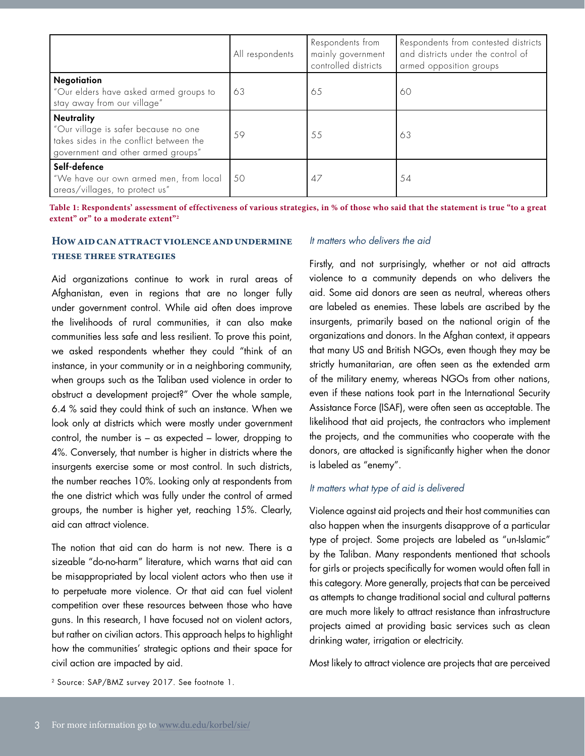|                                                                                                                                            | All respondents | Respondents from<br>mainly government<br>controlled districts | Respondents from contested districts<br>and districts under the control of<br>armed opposition groups |
|--------------------------------------------------------------------------------------------------------------------------------------------|-----------------|---------------------------------------------------------------|-------------------------------------------------------------------------------------------------------|
| <b>Negotiation</b><br>"Our elders have asked armed groups to<br>stay away from our village"                                                | 63              | 65                                                            | 60                                                                                                    |
| <b>Neutrality</b><br>"Our village is safer because no one<br>takes sides in the conflict between the<br>government and other armed groups" | 59              | 55                                                            | 63                                                                                                    |
| Self-defence<br>"We have our own armed men, from local<br>areas/villages, to protect us"                                                   | -50             | 47                                                            | 54                                                                                                    |

**Table 1: Respondents' assessment of effectiveness of various strategies, in % of those who said that the statement is true "to a great**  extent" or" to a moderate extent"<sup>2</sup>

### **How aid can attract violence and undermine these three strategies**

Aid organizations continue to work in rural areas of Afghanistan, even in regions that are no longer fully under government control. While aid often does improve the livelihoods of rural communities, it can also make communities less safe and less resilient. To prove this point, we asked respondents whether they could "think of an instance, in your community or in a neighboring community, when groups such as the Taliban used violence in order to obstruct a development project?" Over the whole sample, 6.4 % said they could think of such an instance. When we look only at districts which were mostly under government control, the number is – as expected – lower, dropping to 4%. Conversely, that number is higher in districts where the insurgents exercise some or most control. In such districts, the number reaches 10%. Looking only at respondents from the one district which was fully under the control of armed groups, the number is higher yet, reaching 15%. Clearly, aid can attract violence.

The notion that aid can do harm is not new. There is a sizeable "do-no-harm" literature, which warns that aid can be misappropriated by local violent actors who then use it to perpetuate more violence. Or that aid can fuel violent competition over these resources between those who have guns. In this research, I have focused not on violent actors, but rather on civilian actors. This approach helps to highlight how the communities' strategic options and their space for civil action are impacted by aid.

#### It matters who delivers the aid

Firstly, and not surprisingly, whether or not aid attracts violence to a community depends on who delivers the aid. Some aid donors are seen as neutral, whereas others are labeled as enemies. These labels are ascribed by the insurgents, primarily based on the national origin of the organizations and donors. In the Afghan context, it appears that many US and British NGOs, even though they may be strictly humanitarian, are often seen as the extended arm of the military enemy, whereas NGOs from other nations, even if these nations took part in the International Security Assistance Force (ISAF), were often seen as acceptable. The likelihood that aid projects, the contractors who implement the projects, and the communities who cooperate with the donors, are attacked is significantly higher when the donor is labeled as "enemy".

#### It matters what type of aid is delivered

Violence against aid projects and their host communities can also happen when the insurgents disapprove of a particular type of project. Some projects are labeled as "un-Islamic" by the Taliban. Many respondents mentioned that schools for girls or projects specifically for women would often fall in this category. More generally, projects that can be perceived as attempts to change traditional social and cultural patterns are much more likely to attract resistance than infrastructure projects aimed at providing basic services such as clean drinking water, irrigation or electricity.

Most likely to attract violence are projects that are perceived

2 Source: SAP/BMZ survey 2017. See footnote 1.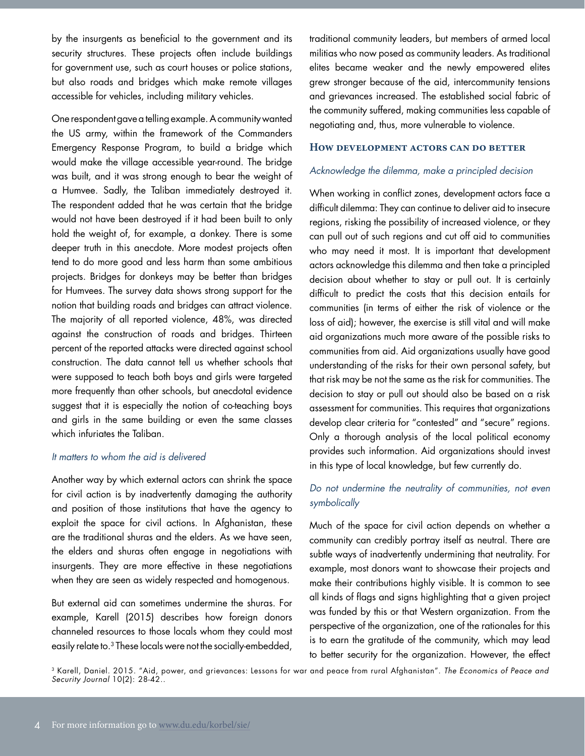by the insurgents as beneficial to the government and its security structures. These projects often include buildings for government use, such as court houses or police stations, but also roads and bridges which make remote villages accessible for vehicles, including military vehicles.

One respondent gave a telling example. A community wanted the US army, within the framework of the Commanders Emergency Response Program, to build a bridge which would make the village accessible year-round. The bridge was built, and it was strong enough to bear the weight of a Humvee. Sadly, the Taliban immediately destroyed it. The respondent added that he was certain that the bridge would not have been destroyed if it had been built to only hold the weight of, for example, a donkey. There is some deeper truth in this anecdote. More modest projects often tend to do more good and less harm than some ambitious projects. Bridges for donkeys may be better than bridges for Humvees. The survey data shows strong support for the notion that building roads and bridges can attract violence. The majority of all reported violence, 48%, was directed against the construction of roads and bridges. Thirteen percent of the reported attacks were directed against school construction. The data cannot tell us whether schools that were supposed to teach both boys and girls were targeted more frequently than other schools, but anecdotal evidence suggest that it is especially the notion of co-teaching boys and girls in the same building or even the same classes which infuriates the Taliban.

### It matters to whom the aid is delivered

Another way by which external actors can shrink the space for civil action is by inadvertently damaging the authority and position of those institutions that have the agency to exploit the space for civil actions. In Afghanistan, these are the traditional shuras and the elders. As we have seen, the elders and shuras often engage in negotiations with insurgents. They are more effective in these negotiations when they are seen as widely respected and homogenous.

But external aid can sometimes undermine the shuras. For example, Karell (2015) describes how foreign donors channeled resources to those locals whom they could most easily relate to.<sup>3</sup> These locals were not the socially-embedded, traditional community leaders, but members of armed local militias who now posed as community leaders. As traditional elites became weaker and the newly empowered elites grew stronger because of the aid, intercommunity tensions and grievances increased. The established social fabric of the community suffered, making communities less capable of negotiating and, thus, more vulnerable to violence.

#### **How development actors can do better**

#### Acknowledge the dilemma, make a principled decision

When working in conflict zones, development actors face a difficult dilemma: They can continue to deliver aid to insecure regions, risking the possibility of increased violence, or they can pull out of such regions and cut off aid to communities who may need it most. It is important that development actors acknowledge this dilemma and then take a principled decision about whether to stay or pull out. It is certainly difficult to predict the costs that this decision entails for communities (in terms of either the risk of violence or the loss of aid); however, the exercise is still vital and will make aid organizations much more aware of the possible risks to communities from aid. Aid organizations usually have good understanding of the risks for their own personal safety, but that risk may be not the same as the risk for communities. The decision to stay or pull out should also be based on a risk assessment for communities. This requires that organizations develop clear criteria for "contested" and "secure" regions. Only a thorough analysis of the local political economy provides such information. Aid organizations should invest in this type of local knowledge, but few currently do.

# Do not undermine the neutrality of communities, not even symbolically

Much of the space for civil action depends on whether a community can credibly portray itself as neutral. There are subtle ways of inadvertently undermining that neutrality. For example, most donors want to showcase their projects and make their contributions highly visible. It is common to see all kinds of flags and signs highlighting that a given project was funded by this or that Western organization. From the perspective of the organization, one of the rationales for this is to earn the gratitude of the community, which may lead to better security for the organization. However, the effect

3 Karell, Daniel. 2015. "Aid, power, and grievances: Lessons for war and peace from rural Afghanistan". The Economics of Peace and Security Journal 10(2): 28-42..